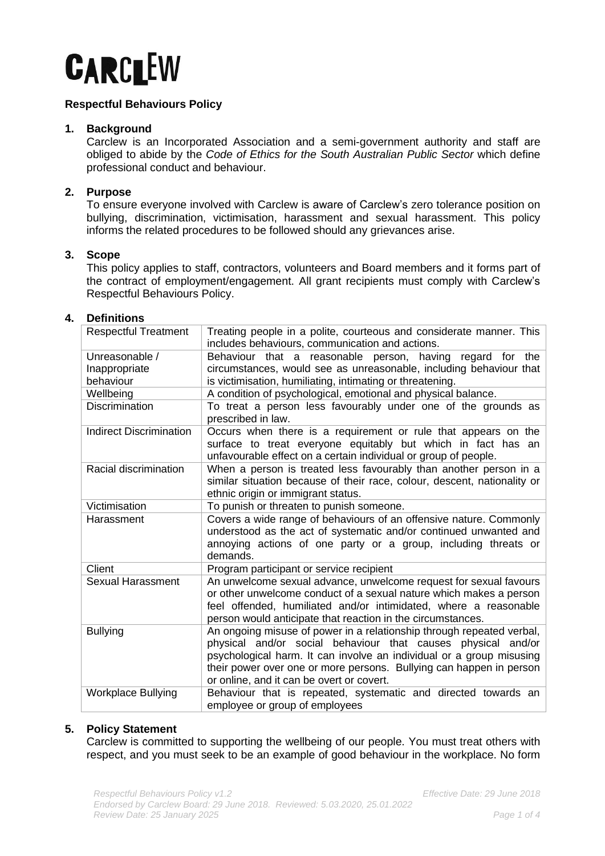

# **Respectful Behaviours Policy**

### **1. Background**

Carclew is an Incorporated Association and a semi-government authority and staff are obliged to abide by the *Code of Ethics for the South Australian Public Sector* which define professional conduct and behaviour.

## **2. Purpose**

To ensure everyone involved with Carclew is aware of Carclew's zero tolerance position on bullying, discrimination, victimisation, harassment and sexual harassment. This policy informs the related procedures to be followed should any grievances arise.

## **3. Scope**

This policy applies to staff, contractors, volunteers and Board members and it forms part of the contract of employment/engagement. All grant recipients must comply with Carclew's Respectful Behaviours Policy.

## **4. Definitions**

| <b>Respectful Treatment</b>                  | Treating people in a polite, courteous and considerate manner. This<br>includes behaviours, communication and actions.                                                                                                                                                                                                            |
|----------------------------------------------|-----------------------------------------------------------------------------------------------------------------------------------------------------------------------------------------------------------------------------------------------------------------------------------------------------------------------------------|
| Unreasonable /<br>Inappropriate<br>behaviour | Behaviour that a<br>reasonable person, having<br>regard<br>the<br>for<br>circumstances, would see as unreasonable, including behaviour that<br>is victimisation, humiliating, intimating or threatening.                                                                                                                          |
| Wellbeing                                    | A condition of psychological, emotional and physical balance.                                                                                                                                                                                                                                                                     |
| Discrimination                               | To treat a person less favourably under one of the grounds as<br>prescribed in law.                                                                                                                                                                                                                                               |
| <b>Indirect Discrimination</b>               | Occurs when there is a requirement or rule that appears on the<br>surface to treat everyone equitably but which in fact has an<br>unfavourable effect on a certain individual or group of people.                                                                                                                                 |
| Racial discrimination                        | When a person is treated less favourably than another person in a<br>similar situation because of their race, colour, descent, nationality or<br>ethnic origin or immigrant status.                                                                                                                                               |
| Victimisation                                | To punish or threaten to punish someone.                                                                                                                                                                                                                                                                                          |
| Harassment                                   | Covers a wide range of behaviours of an offensive nature. Commonly<br>understood as the act of systematic and/or continued unwanted and<br>annoying actions of one party or a group, including threats or<br>demands.                                                                                                             |
| Client                                       | Program participant or service recipient                                                                                                                                                                                                                                                                                          |
| <b>Sexual Harassment</b>                     | An unwelcome sexual advance, unwelcome request for sexual favours<br>or other unwelcome conduct of a sexual nature which makes a person<br>feel offended, humiliated and/or intimidated, where a reasonable<br>person would anticipate that reaction in the circumstances.                                                        |
| <b>Bullying</b>                              | An ongoing misuse of power in a relationship through repeated verbal,<br>physical and/or social behaviour that causes physical and/or<br>psychological harm. It can involve an individual or a group misusing<br>their power over one or more persons. Bullying can happen in person<br>or online, and it can be overt or covert. |
| <b>Workplace Bullying</b>                    | Behaviour that is repeated, systematic and directed towards an<br>employee or group of employees                                                                                                                                                                                                                                  |

#### **5. Policy Statement**

Carclew is committed to supporting the wellbeing of our people. You must treat others with respect, and you must seek to be an example of good behaviour in the workplace. No form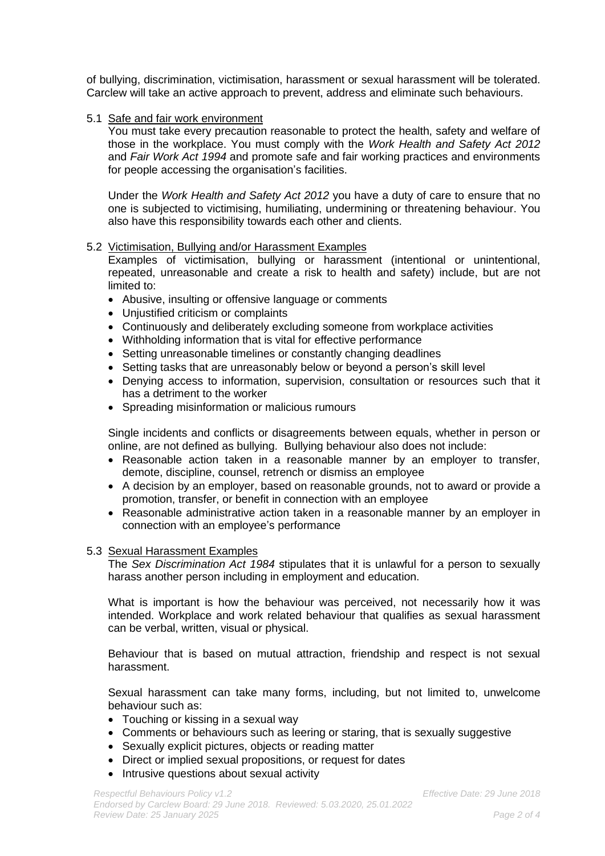of bullying, discrimination, victimisation, harassment or sexual harassment will be tolerated. Carclew will take an active approach to prevent, address and eliminate such behaviours.

## 5.1 Safe and fair work environment

You must take every precaution reasonable to protect the health, safety and welfare of those in the workplace. You must comply with the *Work Health and Safety Act 2012* and *Fair Work Act 1994* and promote safe and fair working practices and environments for people accessing the organisation's facilities.

Under the *Work Health and Safety Act 2012* you have a duty of care to ensure that no one is subjected to victimising, humiliating, undermining or threatening behaviour. You also have this responsibility towards each other and clients.

## 5.2 Victimisation, Bullying and/or Harassment Examples

Examples of victimisation, bullying or harassment (intentional or unintentional, repeated, unreasonable and create a risk to health and safety) include, but are not limited to:

- Abusive, insulting or offensive language or comments
- Unjustified criticism or complaints
- Continuously and deliberately excluding someone from workplace activities
- Withholding information that is vital for effective performance
- Setting unreasonable timelines or constantly changing deadlines
- Setting tasks that are unreasonably below or beyond a person's skill level
- Denying access to information, supervision, consultation or resources such that it has a detriment to the worker
- Spreading misinformation or malicious rumours

Single incidents and conflicts or disagreements between equals, whether in person or online, are not defined as bullying. Bullying behaviour also does not include:

- Reasonable action taken in a reasonable manner by an employer to transfer, demote, discipline, counsel, retrench or dismiss an employee
- A decision by an employer, based on reasonable grounds, not to award or provide a promotion, transfer, or benefit in connection with an employee
- Reasonable administrative action taken in a reasonable manner by an employer in connection with an employee's performance

#### 5.3 Sexual Harassment Examples

The *Sex Discrimination Act 1984* stipulates that it is unlawful for a person to sexually harass another person including in employment and education.

What is important is how the behaviour was perceived, not necessarily how it was intended. Workplace and work related behaviour that qualifies as sexual harassment can be verbal, written, visual or physical.

Behaviour that is based on mutual attraction, friendship and respect is not sexual harassment.

Sexual harassment can take many forms, including, but not limited to, unwelcome behaviour such as:

- Touching or kissing in a sexual way
- Comments or behaviours such as leering or staring, that is sexually suggestive
- Sexually explicit pictures, objects or reading matter
- Direct or implied sexual propositions, or request for dates
- Intrusive questions about sexual activity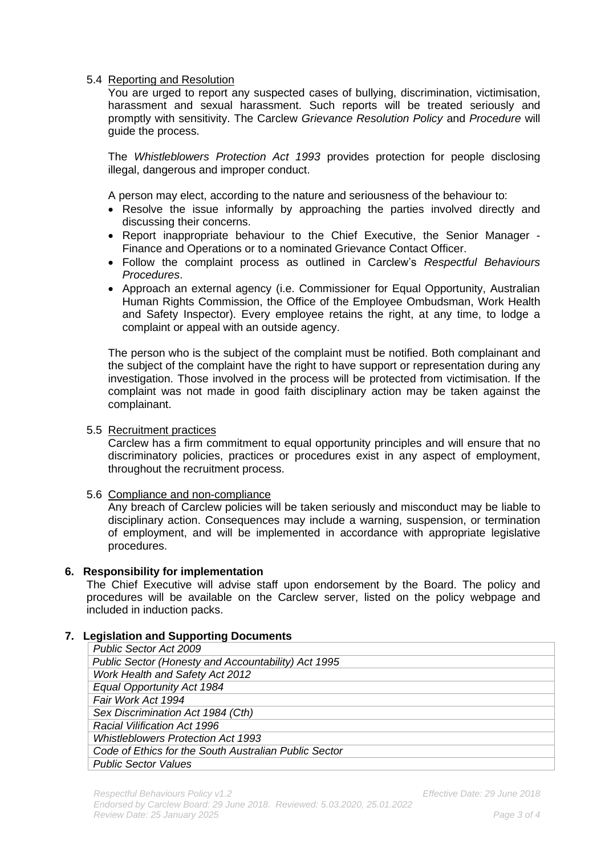# 5.4 Reporting and Resolution

You are urged to report any suspected cases of bullying, discrimination, victimisation, harassment and sexual harassment. Such reports will be treated seriously and promptly with sensitivity. The Carclew *Grievance Resolution Policy* and *Procedure* will guide the process.

The *Whistleblowers Protection Act 1993* provides protection for people disclosing illegal, dangerous and improper conduct.

A person may elect, according to the nature and seriousness of the behaviour to:

- Resolve the issue informally by approaching the parties involved directly and discussing their concerns.
- Report inappropriate behaviour to the Chief Executive, the Senior Manager Finance and Operations or to a nominated Grievance Contact Officer.
- Follow the complaint process as outlined in Carclew's *Respectful Behaviours Procedures*.
- Approach an external agency (i.e. Commissioner for Equal Opportunity, Australian Human Rights Commission, the Office of the Employee Ombudsman, Work Health and Safety Inspector). Every employee retains the right, at any time, to lodge a complaint or appeal with an outside agency.

The person who is the subject of the complaint must be notified. Both complainant and the subject of the complaint have the right to have support or representation during any investigation. Those involved in the process will be protected from victimisation. If the complaint was not made in good faith disciplinary action may be taken against the complainant.

### 5.5 Recruitment practices

Carclew has a firm commitment to equal opportunity principles and will ensure that no discriminatory policies, practices or procedures exist in any aspect of employment, throughout the recruitment process.

# 5.6 Compliance and non-compliance

Any breach of Carclew policies will be taken seriously and misconduct may be liable to disciplinary action. Consequences may include a warning, suspension, or termination of employment, and will be implemented in accordance with appropriate legislative procedures.

#### **6. Responsibility for implementation**

The Chief Executive will advise staff upon endorsement by the Board. The policy and procedures will be available on the Carclew server, listed on the policy webpage and included in induction packs.

# **7. Legislation and Supporting Documents**